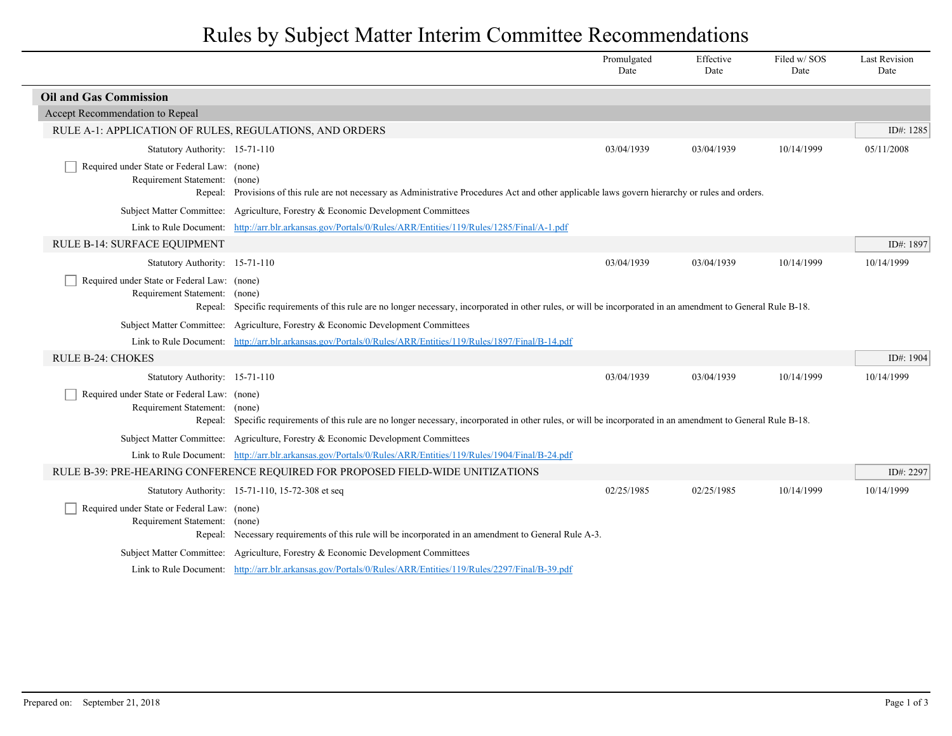## Rules by Subject Matter Interim Committee Recommendations

|                                                                                         |                                                                                                                                                        | Promulgated<br>Date | Effective<br>Date | Filed w/SOS<br>Date | <b>Last Revision</b><br>Date |
|-----------------------------------------------------------------------------------------|--------------------------------------------------------------------------------------------------------------------------------------------------------|---------------------|-------------------|---------------------|------------------------------|
| <b>Oil and Gas Commission</b>                                                           |                                                                                                                                                        |                     |                   |                     |                              |
| Accept Recommendation to Repeal                                                         |                                                                                                                                                        |                     |                   |                     |                              |
| RULE A-1: APPLICATION OF RULES, REGULATIONS, AND ORDERS                                 |                                                                                                                                                        |                     |                   |                     | ID#: 1285                    |
| Statutory Authority: 15-71-110                                                          |                                                                                                                                                        | 03/04/1939          | 03/04/1939        | 10/14/1999          | 05/11/2008                   |
| Required under State or Federal Law: (none)<br>Requirement Statement: (none)            | Repeal: Provisions of this rule are not necessary as Administrative Procedures Act and other applicable laws govern hierarchy or rules and orders.     |                     |                   |                     |                              |
|                                                                                         | Subject Matter Committee: Agriculture, Forestry & Economic Development Committees                                                                      |                     |                   |                     |                              |
|                                                                                         | Link to Rule Document: http://arr.blr.arkansas.gov/Portals/0/Rules/ARR/Entities/119/Rules/1285/Final/A-1.pdf                                           |                     |                   |                     |                              |
| RULE B-14: SURFACE EQUIPMENT                                                            |                                                                                                                                                        |                     |                   |                     | ID#: 1897                    |
| Statutory Authority: 15-71-110                                                          |                                                                                                                                                        | 03/04/1939          | 03/04/1939        | 10/14/1999          | 10/14/1999                   |
| Required under State or Federal Law: (none)<br>Requirement Statement: (none)<br>Repeal: | Specific requirements of this rule are no longer necessary, incorporated in other rules, or will be incorporated in an amendment to General Rule B-18. |                     |                   |                     |                              |
|                                                                                         | Subject Matter Committee: Agriculture, Forestry & Economic Development Committees                                                                      |                     |                   |                     |                              |
|                                                                                         | Link to Rule Document: http://arr.blr.arkansas.gov/Portals/0/Rules/ARR/Entities/119/Rules/1897/Final/B-14.pdf                                          |                     |                   |                     |                              |
| <b>RULE B-24: CHOKES</b>                                                                |                                                                                                                                                        |                     |                   |                     | ID#: 1904                    |
| Statutory Authority: 15-71-110                                                          |                                                                                                                                                        | 03/04/1939          | 03/04/1939        | 10/14/1999          | 10/14/1999                   |
| Required under State or Federal Law: (none)<br>Requirement Statement: (none)<br>Repeal: | Specific requirements of this rule are no longer necessary, incorporated in other rules, or will be incorporated in an amendment to General Rule B-18. |                     |                   |                     |                              |
|                                                                                         | Subject Matter Committee: Agriculture, Forestry & Economic Development Committees                                                                      |                     |                   |                     |                              |
|                                                                                         | Link to Rule Document: http://arr.blr.arkansas.gov/Portals/0/Rules/ARR/Entities/119/Rules/1904/Final/B-24.pdf                                          |                     |                   |                     |                              |
|                                                                                         | RULE B-39: PRE-HEARING CONFERENCE REQUIRED FOR PROPOSED FIELD-WIDE UNITIZATIONS                                                                        |                     |                   |                     | ID#: 2297                    |
|                                                                                         | Statutory Authority: 15-71-110, 15-72-308 et seq                                                                                                       | 02/25/1985          | 02/25/1985        | 10/14/1999          | 10/14/1999                   |
| Required under State or Federal Law: (none)<br>Requirement Statement:                   | (none)<br>Repeal: Necessary requirements of this rule will be incorporated in an amendment to General Rule A-3.                                        |                     |                   |                     |                              |
|                                                                                         | Subject Matter Committee: Agriculture, Forestry & Economic Development Committees                                                                      |                     |                   |                     |                              |
|                                                                                         | Link to Rule Document: http://arr.blr.arkansas.gov/Portals/0/Rules/ARR/Entities/119/Rules/2297/Final/B-39.pdf                                          |                     |                   |                     |                              |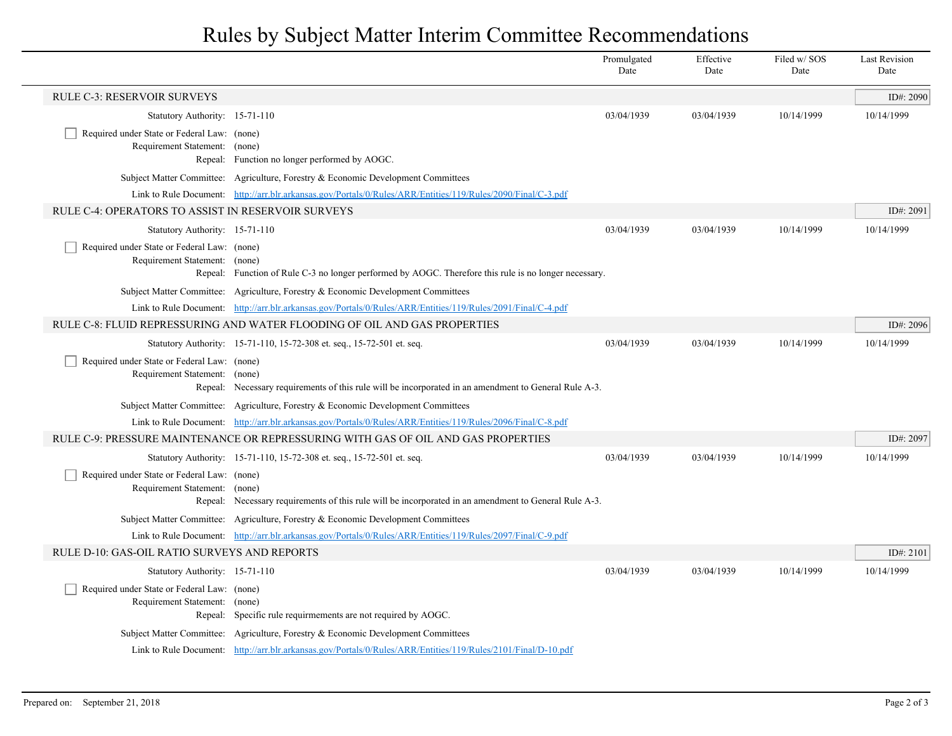## Rules by Subject Matter Interim Committee Recommendations

|                                                                                                                |                                                                                                                                                                                 | Promulgated<br>Date | Effective<br>Date | Filed w/SOS<br>Date | <b>Last Revision</b><br>Date |
|----------------------------------------------------------------------------------------------------------------|---------------------------------------------------------------------------------------------------------------------------------------------------------------------------------|---------------------|-------------------|---------------------|------------------------------|
| <b>RULE C-3: RESERVOIR SURVEYS</b>                                                                             |                                                                                                                                                                                 |                     |                   |                     | ID#: 2090                    |
| Statutory Authority: 15-71-110                                                                                 |                                                                                                                                                                                 | 03/04/1939          | 03/04/1939        | 10/14/1999          | 10/14/1999                   |
| Required under State or Federal Law: (none)<br>Requirement Statement: (none)                                   | Repeal: Function no longer performed by AOGC.                                                                                                                                   |                     |                   |                     |                              |
|                                                                                                                | Subject Matter Committee: Agriculture, Forestry & Economic Development Committees                                                                                               |                     |                   |                     |                              |
|                                                                                                                | Link to Rule Document: http://arr.blr.arkansas.gov/Portals/0/Rules/ARR/Entities/119/Rules/2090/Final/C-3.pdf                                                                    |                     |                   |                     |                              |
| RULE C-4: OPERATORS TO ASSIST IN RESERVOIR SURVEYS                                                             |                                                                                                                                                                                 |                     |                   |                     | ID#: 2091                    |
| Statutory Authority: 15-71-110                                                                                 |                                                                                                                                                                                 | 03/04/1939          | 03/04/1939        | 10/14/1999          | 10/14/1999                   |
| Required under State or Federal Law: (none)<br>Requirement Statement: (none)                                   | Repeal: Function of Rule C-3 no longer performed by AOGC. Therefore this rule is no longer necessary.                                                                           |                     |                   |                     |                              |
|                                                                                                                | Subject Matter Committee: Agriculture, Forestry & Economic Development Committees                                                                                               |                     |                   |                     |                              |
|                                                                                                                | Link to Rule Document: http://arr.blr.arkansas.gov/Portals/0/Rules/ARR/Entities/119/Rules/2091/Final/C-4.pdf                                                                    |                     |                   |                     |                              |
|                                                                                                                | RULE C-8: FLUID REPRESSURING AND WATER FLOODING OF OIL AND GAS PROPERTIES                                                                                                       |                     |                   |                     | ID#: 2096                    |
| Required under State or Federal Law: (none)<br>Requirement Statement: (none)                                   | Statutory Authority: 15-71-110, 15-72-308 et. seq., 15-72-501 et. seq.<br>Repeal: Necessary requirements of this rule will be incorporated in an amendment to General Rule A-3. | 03/04/1939          | 03/04/1939        | 10/14/1999          | 10/14/1999                   |
|                                                                                                                | Subject Matter Committee: Agriculture, Forestry & Economic Development Committees                                                                                               |                     |                   |                     |                              |
|                                                                                                                | Link to Rule Document: http://arr.blr.arkansas.gov/Portals/0/Rules/ARR/Entities/119/Rules/2096/Final/C-8.pdf                                                                    |                     |                   |                     |                              |
|                                                                                                                | RULE C-9: PRESSURE MAINTENANCE OR REPRESSURING WITH GAS OF OIL AND GAS PROPERTIES                                                                                               |                     |                   |                     | ID#: 2097                    |
|                                                                                                                | Statutory Authority: 15-71-110, 15-72-308 et. seq., 15-72-501 et. seq.                                                                                                          | 03/04/1939          | 03/04/1939        | 10/14/1999          | 10/14/1999                   |
| Required under State or Federal Law: (none)<br>Requirement Statement: (none)                                   | Repeal: Necessary requirements of this rule will be incorporated in an amendment to General Rule A-3.                                                                           |                     |                   |                     |                              |
|                                                                                                                | Subject Matter Committee: Agriculture, Forestry & Economic Development Committees                                                                                               |                     |                   |                     |                              |
|                                                                                                                | Link to Rule Document: http://arr.blr.arkansas.gov/Portals/0/Rules/ARR/Entities/119/Rules/2097/Final/C-9.pdf                                                                    |                     |                   |                     |                              |
| RULE D-10: GAS-OIL RATIO SURVEYS AND REPORTS                                                                   |                                                                                                                                                                                 |                     |                   |                     | ID#: 2101                    |
| Statutory Authority: 15-71-110<br>Required under State or Federal Law: (none)<br>Requirement Statement: (none) | Repeal: Specific rule requirmements are not required by AOGC.                                                                                                                   | 03/04/1939          | 03/04/1939        | 10/14/1999          | 10/14/1999                   |
|                                                                                                                | Subject Matter Committee: Agriculture, Forestry & Economic Development Committees                                                                                               |                     |                   |                     |                              |
|                                                                                                                | Link to Rule Document: http://arr.blr.arkansas.gov/Portals/0/Rules/ARR/Entities/119/Rules/2101/Final/D-10.pdf                                                                   |                     |                   |                     |                              |